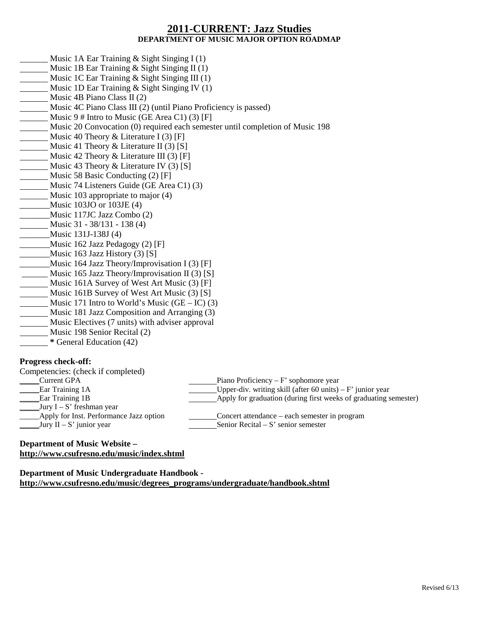# **2011-CURRENT: Jazz Studies DEPARTMENT OF MUSIC MAJOR OPTION ROADMAP**

- Music 1A Ear Training  $&$  Sight Singing I (1)
- Music 1B Ear Training  $\&$  Sight Singing II (1)
- Music 1C Ear Training  $&$  Sight Singing III (1)
- Music 1D Ear Training & Sight Singing IV (1)
- $Music 4B Piano Class II (2)$
- Music 4C Piano Class III (2) (until Piano Proficiency is passed)
- Music  $9 \#$  Intro to Music (GE Area C1) (3) [F]
- Music 20 Convocation (0) required each semester until completion of Music 198
- Music 40 Theory & Literature I (3) [F]
- Music 41 Theory & Literature II (3) [S]
- Music 42 Theory & Literature III (3) [F]
- Music 43 Theory & Literature IV (3) [S]
- Music 58 Basic Conducting (2) [F]
- Music 74 Listeners Guide (GE Area C1) (3)
- Music 103 appropriate to major (4)
- Music 103JO or 103JE (4)
- \_\_\_\_\_\_\_Music 117JC Jazz Combo (2)
- Music 31 38/131 138 (4)
- \_\_\_\_\_\_\_Music 131J-138J (4)
- \_\_\_\_\_\_\_Music 162 Jazz Pedagogy (2) [F]
- Music 163 Jazz History  $(3)$  [S]
- \_\_\_\_\_\_\_Music 164 Jazz Theory/Improvisation I (3) [F]
- \_\_\_\_\_\_ Music 165 Jazz Theory/Improvisation II (3) [S]
- Music 161A Survey of West Art Music (3) [F]
- Music 161B Survey of West Art Music (3) [S]
- Music 171 Intro to World's Music  $(GE IC)$  (3)
- **Music 181 Jazz Composition and Arranging (3)**
- **Music Electives (7 units) with adviser approval**
- Music 198 Senior Recital (2)
- **\*** General Education (42)

## **Progress check-off:**

| Competencies: (check if completed)      |                                                                  |
|-----------------------------------------|------------------------------------------------------------------|
| Current GPA                             | Piano Proficiency – $F'$ sophomore year                          |
| <b>Ear Training 1A</b>                  | Upper-div. writing skill (after 60 units) – $F'$ junior year     |
| <b>Ear Training 1B</b>                  | Apply for graduation (during first weeks of graduating semester) |
| Jury $I - S'$ freshman year             |                                                                  |
| Apply for Inst. Performance Jazz option | Concert attendance – each semester in program                    |
| $Jury II - S'$ junior year              | Senior Recital – S' senior semester                              |
|                                         |                                                                  |

## **Department of Music Website – <http://www.csufresno.edu/music/index.shtml>**

**Department of Music Undergraduate Handbook http://www.csufresno.edu/music/degrees\_programs/undergraduate/handbook.shtml**